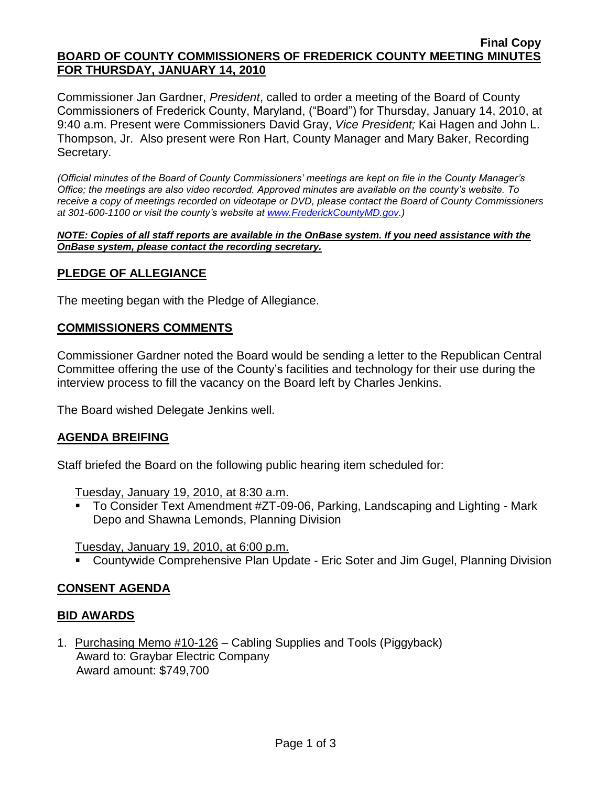#### **Final Copy BOARD OF COUNTY COMMISSIONERS OF FREDERICK COUNTY MEETING MINUTES FOR THURSDAY, JANUARY 14, 2010**

Commissioner Jan Gardner, *President*, called to order a meeting of the Board of County Commissioners of Frederick County, Maryland, ("Board") for Thursday, January 14, 2010, at 9:40 a.m. Present were Commissioners David Gray, *Vice President;* Kai Hagen and John L. Thompson, Jr. Also present were Ron Hart, County Manager and Mary Baker, Recording Secretary.

*(Official minutes of the Board of County Commissioners' meetings are kept on file in the County Manager's Office; the meetings are also video recorded. Approved minutes are available on the county's website. To receive a copy of meetings recorded on videotape or DVD, please contact the Board of County Commissioners at 301-600-1100 or visit the county's website at [www.FrederickCountyMD.gov.](http://www.frederickcountymd.gov/))*

*NOTE: Copies of all staff reports are available in the OnBase system. If you need assistance with the OnBase system, please contact the recording secretary.*

## **PLEDGE OF ALLEGIANCE**

The meeting began with the Pledge of Allegiance.

#### **COMMISSIONERS COMMENTS**

Commissioner Gardner noted the Board would be sending a letter to the Republican Central Committee offering the use of the County's facilities and technology for their use during the interview process to fill the vacancy on the Board left by Charles Jenkins.

The Board wished Delegate Jenkins well.

## **AGENDA BREIFING**

Staff briefed the Board on the following public hearing item scheduled for:

Tuesday, January 19, 2010, at 8:30 a.m.

 To Consider Text Amendment #ZT-09-06, Parking, Landscaping and Lighting - Mark Depo and Shawna Lemonds, Planning Division

Tuesday, January 19, 2010, at 6:00 p.m.

Countywide Comprehensive Plan Update - Eric Soter and Jim Gugel, Planning Division

## **CONSENT AGENDA**

#### **BID AWARDS**

1. Purchasing Memo #10-126 – Cabling Supplies and Tools (Piggyback) Award to: Graybar Electric Company Award amount: \$749,700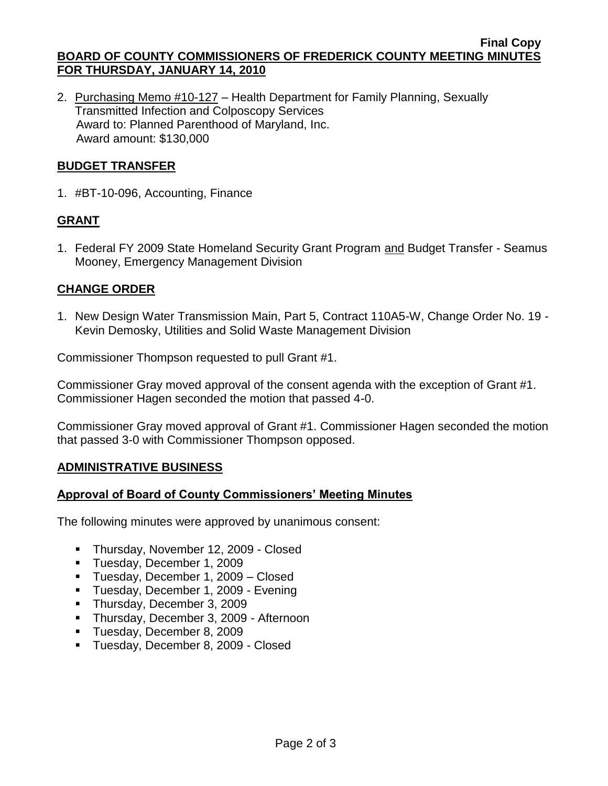#### **Final Copy BOARD OF COUNTY COMMISSIONERS OF FREDERICK COUNTY MEETING MINUTES FOR THURSDAY, JANUARY 14, 2010**

2. Purchasing Memo #10-127 – Health Department for Family Planning, Sexually Transmitted Infection and Colposcopy Services Award to: Planned Parenthood of Maryland, Inc. Award amount: \$130,000

## **BUDGET TRANSFER**

1. #BT-10-096, Accounting, Finance

# **GRANT**

1. Federal FY 2009 State Homeland Security Grant Program and Budget Transfer - Seamus Mooney, Emergency Management Division

# **CHANGE ORDER**

1. New Design Water Transmission Main, Part 5, Contract 110A5-W, Change Order No. 19 - Kevin Demosky, Utilities and Solid Waste Management Division

Commissioner Thompson requested to pull Grant #1.

Commissioner Gray moved approval of the consent agenda with the exception of Grant #1. Commissioner Hagen seconded the motion that passed 4-0.

Commissioner Gray moved approval of Grant #1. Commissioner Hagen seconded the motion that passed 3-0 with Commissioner Thompson opposed.

## **ADMINISTRATIVE BUSINESS**

## **Approval of Board of County Commissioners' Meeting Minutes**

The following minutes were approved by unanimous consent:

- Thursday, November 12, 2009 Closed
- **Tuesday, December 1, 2009**
- **Tuesday, December 1, 2009 Closed**
- **Tuesday, December 1, 2009 Evening**
- Thursday, December 3, 2009
- **Thursday, December 3, 2009 Afternoon**
- **Tuesday, December 8, 2009**
- **Tuesday, December 8, 2009 Closed**